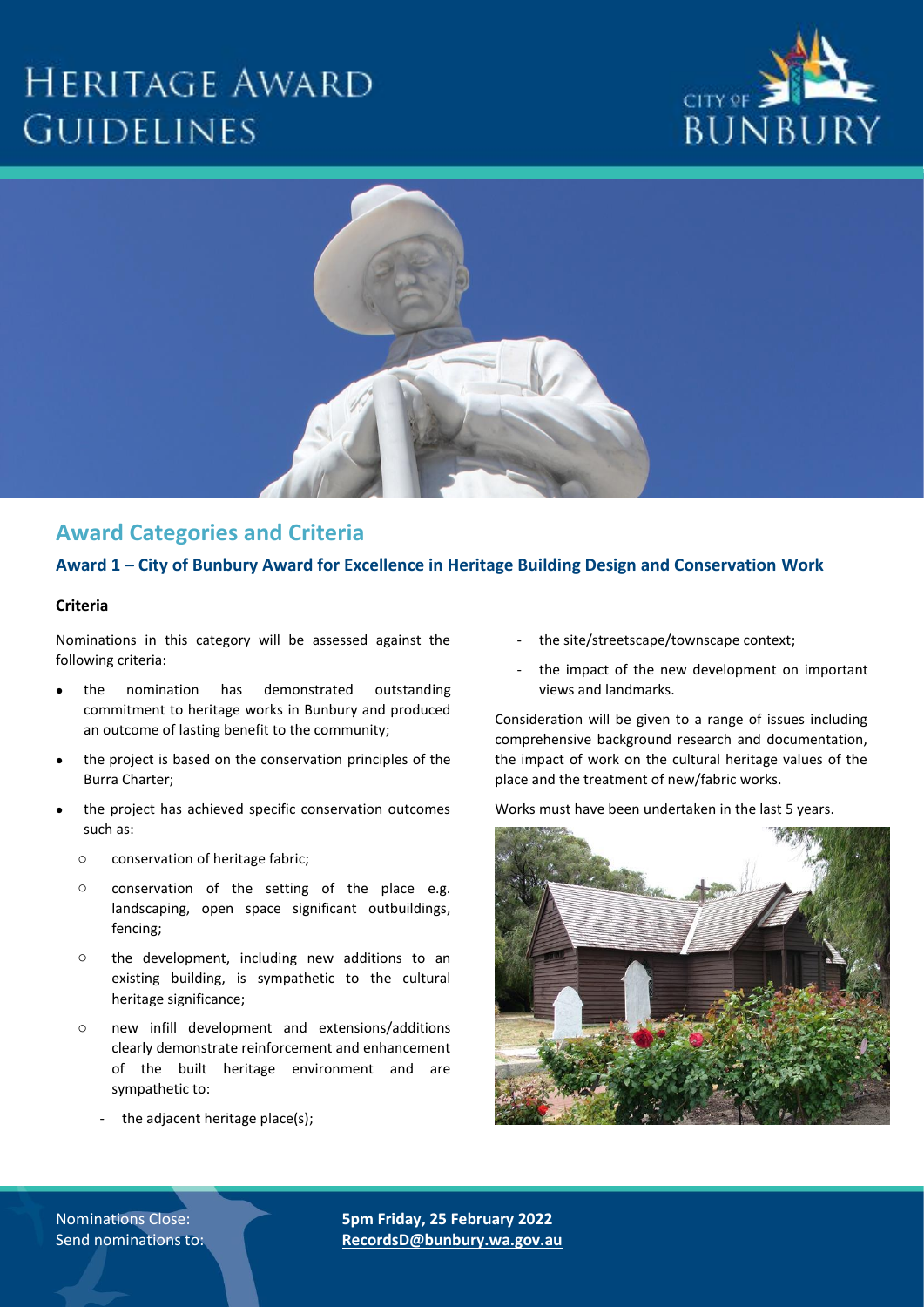# **HERITAGE AWARD GUIDELINES**





# **Award Categories and Criteria**

#### **Award 1 – City of Bunbury Award for Excellence in Heritage Building Design and Conservation Work**

#### **Criteria**

Nominations in this category will be assessed against the following criteria:

- the nomination has demonstrated outstanding commitment to heritage works in Bunbury and produced an outcome of lasting benefit to the community;
- the project is based on the conservation principles of the Burra Charter;
- the project has achieved specific conservation outcomes such as:
	- o conservation of heritage fabric;
	- o conservation of the setting of the place e.g. landscaping, open space significant outbuildings, fencing;
	- o the development, including new additions to an existing building, is sympathetic to the cultural heritage significance;
	- o new infill development and extensions/additions clearly demonstrate reinforcement and enhancement of the built heritage environment and are sympathetic to:
		- the adjacent heritage place(s);
- the site/streetscape/townscape context;
- the impact of the new development on important views and landmarks.

Consideration will be given to a range of issues including comprehensive background research and documentation, the impact of work on the cultural heritage values of the place and the treatment of new/fabric works.

Works must have been undertaken in the last 5 years.



Nominations Close: **5pm Friday, 25 February 2022** Send nominations to: **RecordsD@bunbury.wa.gov.au**